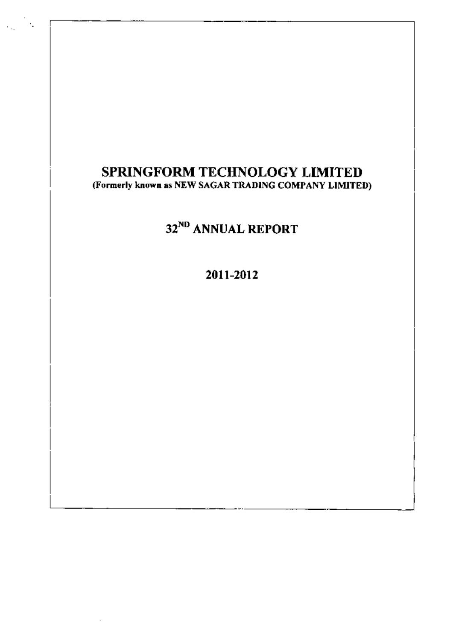# SPRINGFORM TECHNOLOGY LIMITED (Formerly known as NEW SAGAR TRADING COMPANY LIMITED)

# 32<sup>ND</sup> ANNUAL REPORT

2011-2012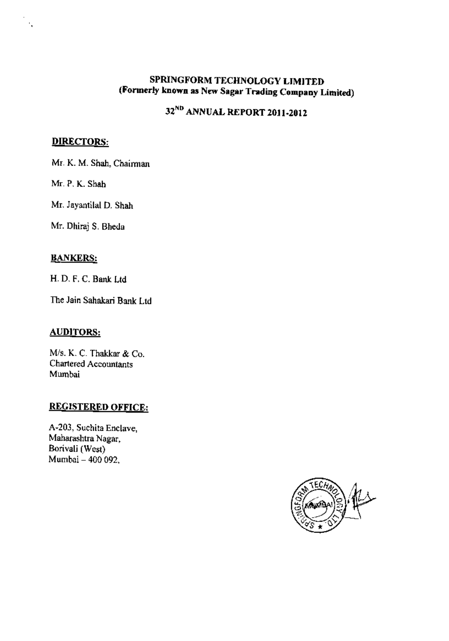## SPRINGFORM TECHNOLOGY LIMITED (Formerly known as New Sagar Trading Company Limited)

# 32<sup>ND</sup> ANNUAL REPORT 2011-2012

## **DIRECTORS:**

Mr. K. M. Shah, Chairman

Mr. P. K. Shah

Mr. Jayantilal D. Shah

Mr. Dhiraj S. Bheda

#### **BANKERS:**

H. D. F. C. Bank Ltd

The Jain Sahakari Bank Ltd

### **AUDITORS:**

M/s. K. C. Thakkar & Co. Chartered Accountants Mumbai

# **REGISTERED OFFICE:**

A-203, Suchita Enclave, Maharashtra Nagar, Borivali (West) Mumbai - 400 092.

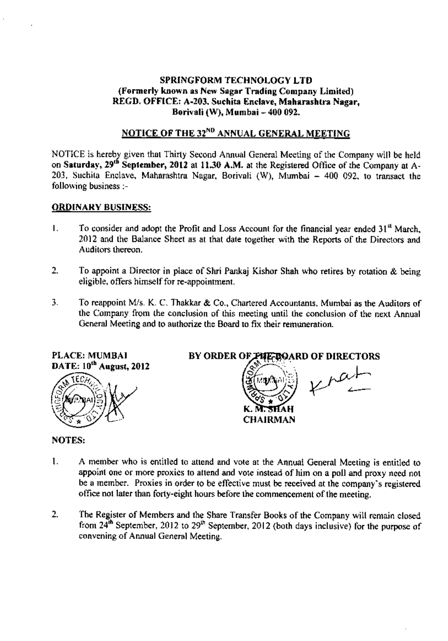#### **SPRINGFORM TECHNOLOGY LTD** (Formerly known as New Sagar Trading Company Limited) REGD. OFFICE: A-203. Suchita Enclave, Maharashtra Nagar, Borivali (W), Mumbai - 400 092.

# NOTICE OF THE 32<sup>ND</sup> ANNUAL GENERAL MEETING

NOTICE is hereby given that Thirty Second Annual General Meeting of the Company will be held on Saturday, 29<sup>th</sup> September, 2012 at 11.30 A.M. at the Registered Office of the Company at A-203, Suchita Enclave, Maharashtra Nagar, Borivali (W), Mumbai - 400 092, to transact the following business :-

#### **ORDINARY BUSINESS:**

- To consider and adopt the Profit and Loss Account for the financial year ended 31<sup>st</sup> March. L. 2012 and the Balance Sheet as at that date together with the Reports of the Directors and Auditors thereon.
- $2.$ To appoint a Director in place of Shri Pankaj Kishor Shah who retires by rotation & being eligible, offers himself for re-appointment.
- 3. To reappoint M/s. K. C. Thakkar & Co., Chartered Accountants, Mumbai as the Auditors of the Company from the conclusion of this meeting until the conclusion of the next Annual General Meeting and to authorize the Board to fix their remuneration.



#### **NOTES:**

- $\mathbf{1}$ . A member who is entitled to attend and vote at the Annual General Meeting is entitled to appoint one or more proxies to attend and vote instead of him on a poll and proxy need not be a member. Proxies in order to be effective must be received at the company's registered office not later than forty-eight hours before the commencement of the meeting.
- $2.$ The Register of Members and the Share Transfer Books of the Company will remain closed from 24<sup>th</sup> September, 2012 to 29<sup>th</sup> September, 2012 (both days inclusive) for the purpose of convening of Annual General Meeting,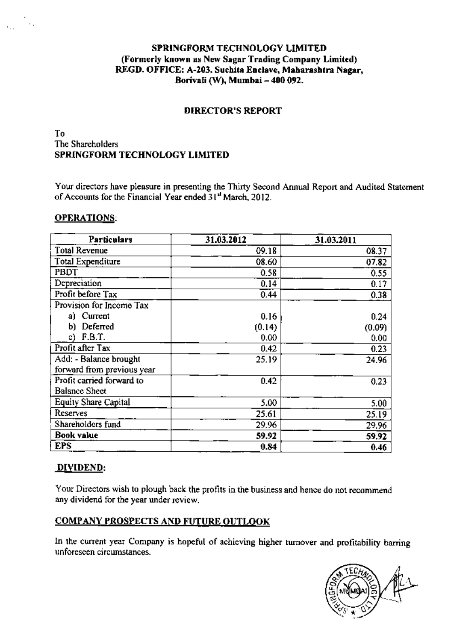## SPRINGFORM TECHNOLOGY LIMITED (Formerly known as New Sagar Trading Company Limited) REGD. OFFICE: A-203. Suchita Enclave, Maharashtra Nagar, Borivali (W), Mumbai - 400 092.

#### **DIRECTOR'S REPORT**

## To The Shareholders SPRINGFORM TECHNOLOGY LIMITED

Your directors have pleasure in presenting the Thirty Second Annual Report and Audited Statement of Accounts for the Financial Year ended 31<sup>st</sup> March, 2012.

#### **OPERATIONS:**

 $\sim$  .

| <b>Particulars</b>         | 31.03.2012 | 31.03.2011 |
|----------------------------|------------|------------|
| <b>Total Revenue</b>       | 09.18      | 08.37      |
| Total Expenditure          | 08.60      | 07.82      |
| PBDT                       | 0.58       | 0.55       |
| Depreciation               | 0.14       | 0.17       |
| Profit before Tax          | 0.44       | 0.38       |
| Provision for Income Tax   |            |            |
| a) Current                 | 0.16       | 0.24       |
| Deferred<br>b).            | (0.14)     | (0.09)     |
| F.B.T.<br>c)               | 0.00       | 0.00       |
| Profit after Tax           | 0.42       | 0.23       |
| Add: - Balance brought     | 25.19      | 24.96      |
| forward from previous year |            |            |
| Profit carried forward to  | 0.42       | 0.23       |
| <b>Balance Sheet</b>       |            |            |
| Equity Share Capital       | 5.00       | 5.00       |
| Reserves                   | 25.61      | 25.19      |
| Shareholders fund          | 29.96      | 29.96      |
| <b>Book value</b>          | 59.92      | 59.92      |
| <b>EPS</b>                 | 0.84       | 0.46       |

#### DIVIDEND:

Your Directors wish to plough back the profits in the business and hence do not recommend any dividend for the year under review.

### **COMPANY PROSPECTS AND FUTURE OUTLOOK**

In the current year Company is hopeful of achieving higher turnover and profitability barring unforeseen circumstances.

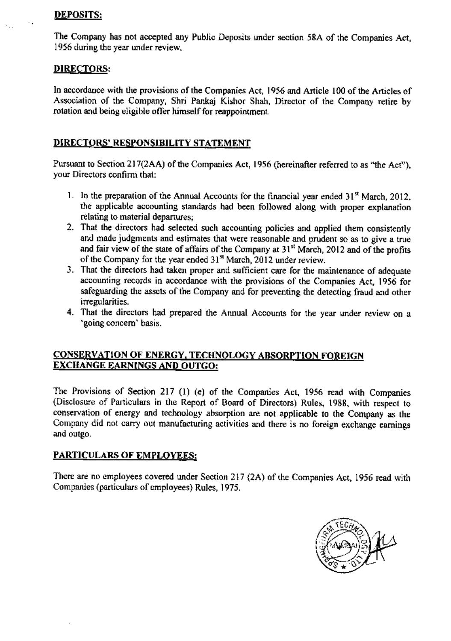#### **DEPOSITS:**

 $\cdot$  .

The Company has not accepted any Public Deposits under section 58A of the Companies Act, 1956 during the year under review.

#### **DIRECTORS:**

In accordance with the provisions of the Companies Act, 1956 and Article 100 of the Articles of Association of the Company, Shri Pankaj Kishor Shah, Director of the Company retire by rotation and being eligible offer himself for reappointment.

### DIRECTORS' RESPONSIBILITY STATEMENT

Pursuant to Section 217(2AA) of the Companies Act, 1956 (hereinafter referred to as "the Act"), your Directors confirm that:

- 1. In the preparation of the Annual Accounts for the financial year ended  $31<sup>st</sup>$  March, 2012, the applicable accounting standards had been followed along with proper explanation relating to material departures;
- 2. That the directors had selected such accounting policies and applied them consistently and made judgments and estimates that were reasonable and prudent so as to give a true and fair view of the state of affairs of the Company at 31<sup>st</sup> March, 2012 and of the profits of the Company for the year ended 31<sup>st</sup> March, 2012 under review.
- 3. That the directors had taken proper and sufficient care for the maintenance of adequate accounting records in accordance with the provisions of the Companies Act. 1956 for safeguarding the assets of the Company and for preventing the detecting fraud and other irregularities.
- 4. That the directors had prepared the Annual Accounts for the year under review on a 'going concern' basis.

### **CONSERVATION OF ENERGY, TECHNOLOGY ABSORPTION FOREIGN EXCHANGE EARNINGS AND OUTGO:**

The Provisions of Section 217 (1) (e) of the Companies Act, 1956 read with Companies (Disclosure of Particulars in the Report of Board of Directors) Rules, 1988, with respect to conservation of energy and technology absorption are not applicable to the Company as the Company did not carry out manufacturing activities and there is no foreign exchange earnings and outgo.

### PARTICULARS OF EMPLOYEES:

There are no employees covered under Section 217 (2A) of the Companies Act, 1956 read with Companies (particulars of employees) Rules, 1975.

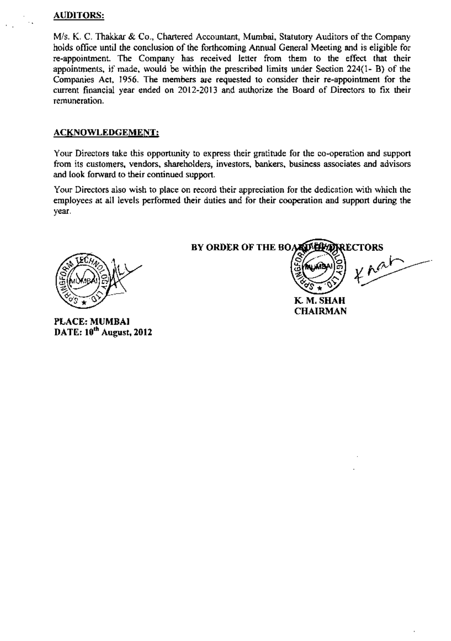#### **AUDITORS:**

M/s. K. C. Thakkar & Co., Chartered Accountant, Mumbai, Statutory Auditors of the Company holds office until the conclusion of the forthcoming Annual General Meeting and is eligible for re-appointment. The Company has received letter from them to the effect that their appointments, if made, would be within the prescribed limits under Section 224(1- B) of the Companies Act, 1956. The members are requested to consider their re-appointment for the current financial year ended on 2012-2013 and authorize the Board of Directors to fix their remuneration.

#### **ACKNOWLEDGEMENT:**

Your Directors take this opportunity to express their gratitude for the co-operation and support from its customers, vendors, shareholders, investors, bankers, business associates and advisors and look forward to their continued support.

Your Directors also wish to place on record their appreciation for the dedication with which the employees at all levels performed their duties and for their cooperation and support during the year.



PLACE: MUMBAI DATE: 10<sup>th</sup> August, 2012 BY ORDER OF THE BOARD LIMIT **RECTORS** 

**X** nat

K. M. SHAH **CHAIRMAN**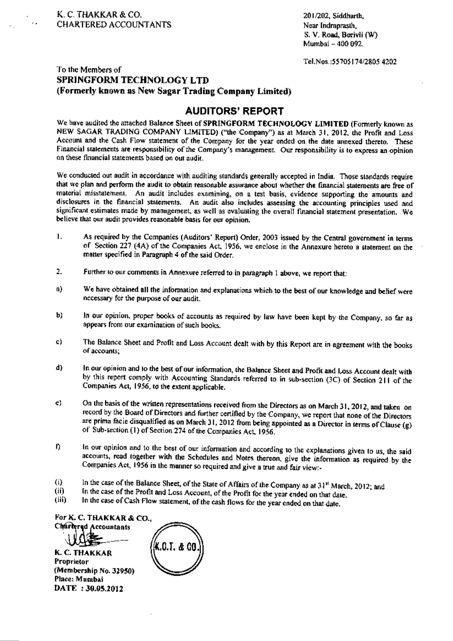201/202, Siddharth, Near Indraprasth, S. V. Road, Borivii (W) Mumbai - 400 092.

Tel.Nos.:55705174/2805 4202

#### To the Members of **SPRINGFORM TECHNOLOGY LTD** (Formerly known as New Sagar Trading Company Limited)

#### **AUDITORS' REPORT**

We have audited the attached Balance Sheet of SPRINGFORM TECHNOLOGY LIMITED (Formerly known as NEW SAGAR TRADING COMPANY LIMITED) ("the Company") as at March 31, 2012, the Profit and Loss Account and the Cash Flow statement of the Company for the year ended on the date annexed thereto. These Financial statements are responsibility of the Company's management. Our responsibility is to express an opinion on these financial statements based on out audit.

We conducted out audit in accordance with auditing standards generally accepted in India. Those standards require that we plan and perform the audit to obtain reasonable assurance about whether the financial statements are free of material misstatement. An audit includes examining, on a test basis, evidence supporting the amounts and disclosures in the financial statements. An audit also includes assessing the accounting principles used and significant estimates made by management, as well as evaluating the overall financial statement presentation. We believe that our audit provides reasonable basis for our opinion.

- As required by the Companies (Auditors' Report) Order, 2003 issued by the Central government in terms L. of Section 227 (4A) of the Companies Act, 1956, we enclose in the Annexure hereto a statement on the matter specified in Paragraph 4 of the said Order.
- Further to our comments in Annexure referred to in paragraph 1 above, we report that: 2.
- a) We have obtained all the information and explanations which to the best of our knowledge and belief were necessary for the purpose of our audit.
- $b)$ In our opinion, proper books of accounts as required by law have been kept by the Company, so far as appears from our examination of such books.
- The Balance Sheet and Profit and Loss Account dealt with by this Report are in agreement with the books c). of accounts;
- In our opinion and to the best of our information, the Balance Sheet and Profit and Loss Account dealt with d) by this report comply with Accounting Standards referred to in sub-section (3C) of Section 211 of the Companies Act, 1956, to the extent applicable.
- On the basis of the written representations received from the Directors as on March 31, 2012, and taken on  $e)$ record by the Board of Directors and further certified by the Company, we report that none of the Directors are prima facie disqualified as on March 31, 2012 from being appointed as a Director in terms of Clause (g) of Sub-section (1) of Section 274 of the Companies Act, 1956.
- In our opinion and to the best of our information and according to the explanations given to us, the said f) accounts, read together with the Schedules and Notes thereon, give the information as required by the Companies Act, 1956 in the manner so required and give a true and fair view:-
- In the case of the Balance Sheet, of the State of Affairs of the Company as at 31<sup>st</sup> March, 2012; and  $\left( i\right)$
- In the case of the Profit and Loss Account, of the Profit for the year ended on that date. (ii)
- In the case of Cash Flow statement, of the cash flows for the year ended on that date.  $(iii)$

For K. C. THAKKAR & CO., Chartered Accountants

**K. C. THAKKAR** Proprietor (Membership No. 32950) Place: Muntbai DATE: 30.05.2012

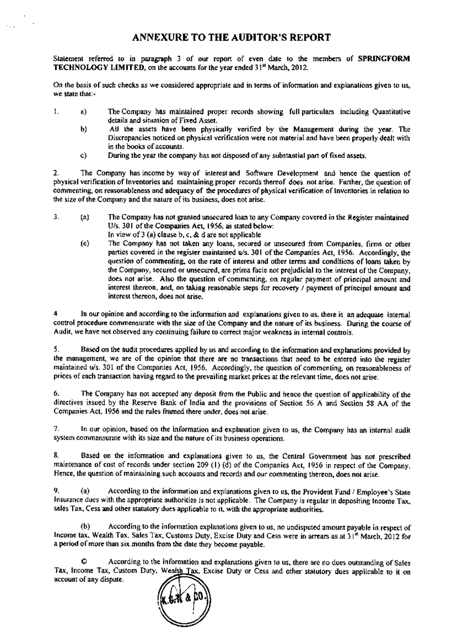Statement referred to in paragraph 3 of our report of even date to the members of SPRINGFORM TECHNOLOGY LIMITED, on the accounts for the year ended 31<sup>x</sup> March, 2012.

On the basis of such checks as we considered appropriate and in terms of information and explanations given to us, we state that:-

- $1$  . The Company has maintained proper records showing full particulars including Quantitative a) details and situation of Fixed Asset.
	- Ы) All the assets have been physically verified by the Management during the year. The Discrepancies noticed on physical verification were not material and have been properly dealt with in the books of accounts.
	- During the year the company has not disposed of any substantial part of fixed assets, c)

 $2.$ The Company has income by way of interest and Software Development and hence the question of physical verification of Inventories and maintaining proper records thereof does not arise. Further, the question of commenting, on reasonableness and adequacy of the procedures of physical verification of inventories in relation to the size of the Company and the nature of its business, does not arise.

- 3.  $(a)$ The Company has not granted unsecured loan to any Company covered in the Register maintained U/s. 301 of the Companies Act, 1956, as stated below: In view of  $3$  (a) clause b, c, & d are not applicable
	- The Company has not taken any loans, secured or unsecured from Companies, firms or other (e) parties covered in the register maintained u/s. 301 of the Companies Act, 1956. Accordingly, the question of commenting, on the rate of interest and other terms and conditions of loans taken by the Company, secured or unsecured, are prima facie not prejudicial to the interest of the Company, does not arise. Also the question of commenting, on regular payment of principal amount and interest thereon, and, on taking reasonable steps for recovery / payment of principal amount and interest thereon, does not arise.

In our opinion and according to the information and explanations given to us, there is an adequate internal 4 control procedure commensurate with the size of the Company and the nature of its business. During the course of Audit, we have not observed any continuing failure to correct major weakness in internal controls.

5. Based on the audit procedures applied by us and according to the information and explanations provided by the management, we are of the opinion that there are no transactions that need to be entered into the register maintained ws. 301 of the Companies Act, 1956. Accordingly, the question of commenting, on reasonableness of prices of each transaction having regard to the prevailing market prices at the relevant time, does not arise.

The Company has not accepted any deposit from the Public and hence the question of applicability of the 6. directives issued by the Reserve Bank of India and the provisions of Section 56 A and Section 58 AA of the Companies Act, 1956 and the rules framed there under, does not arise.

7. In our opinion, based on the information and explanation given to us, the Company has an internal audit system commensurate with its size and the nature of its business operations.

Based on the information and explanations given to us, the Central Government has not prescribed 8. maintenance of cost of records under section 209 (1) (d) of the Companies Act, 1956 in respect of the Company. Hence, the question of maintaining such accounts and records and our commenting thereon, does not arise.

According to the information and explanations given to us, the Provident Fund / Employee's State 9.  $(a)$ Insurance dues with the appropriate authorities is not applicable. The Company is regular in depositing Income Tax. sales Tax, Cess and other statutory dues applicable to it, with the appropriate authorities.

According to the information explanations given to us, no undisputed amount payable in respect of (b) Income tax, Wealth Tax, Sales Tax, Customs Duty, Excise Duty and Cess were in arrears as at 31<sup>4</sup> March, 2012 for a period of more than six months from the date they become payable.

According to the information and explanations given to us, there are no dues outstanding of Sales Tax, Income Tax, Custom Duty, Wealth Tax, Excise Duty or Cess and other statutory dues applicable to it on account of any dispute.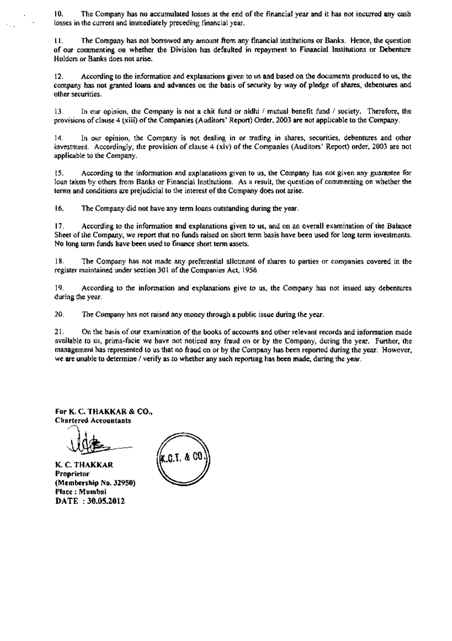10. The Company has no accumulated losses at the end of the financial year and it has not incurred any cash losses in the current and immediately preceding financial year.

The Company has not borrowed any amount from any financial institutions or Banks. Hence, the question 11. of our commenting on whether the Division has defaulted in repayment to Financial Institutions or Debenture Holders or Banks does not arise.

According to the information and explanations given to us and based on the documents produced to us, the 12. company has not granted loans and advances on the basis of security by way of pledge of shares, debentures and other securities.

In our opinion, the Company is not a chit fund or nidhi / mutual benefit fund / society. Therefore, the 13. provisions of clause 4 (xiii) of the Companies (Auditors' Report) Order, 2003 are not applicable to the Company.

In our opinion, the Company is not dealing in or trading in shares, securities, debentures and other  $14.$ investment. Accordingly, the provision of clause 4 (xiv) of the Companies (Auditors' Report) order, 2003 are not applicable to the Company.

According to the information and explanations given to us, the Company has not given any guarantee for  $15.$ loan taken by others from Banks or Financial Institutions. As a result, the question of commenting on whether the terms and conditions are prejudicial to the interest of the Company does not arise.

16. The Company did not have any term loans outstanding during the year.

 $17.$ According to the information and explanations given to us, and on an overall examination of the Balance Sheet of the Company, we report that no funds raised on short term basis have been used for long term investments. No long term funds have been used to finance short term assets.

18. The Company has not made any preferential allotment of shares to parties or companies covered in the register maintained under section 301 of the Companies Act, 1956.

19. According to the information and explanations give to us, the Company has not issued any debentures during the year.

20. The Company has not raised any money through a public issue during the year.

 $21.$ On the basis of our examination of the books of accounts and other relevant records and information made available to us, prima-facie we have not noticed any fraud on or by the Company, during the year. Further, the management has represented to us that no fraud on or by the Company has been reported during the year. However, we are unable to determine / verify as to whether any such reporting has been made, during the year.

For K. C. THAKKAR & CO., **Chartered Accountants** 

K. C. THAKKAR Proprietor (Membership No. 32950) Place: Mumbai DATE: 30.05.2012

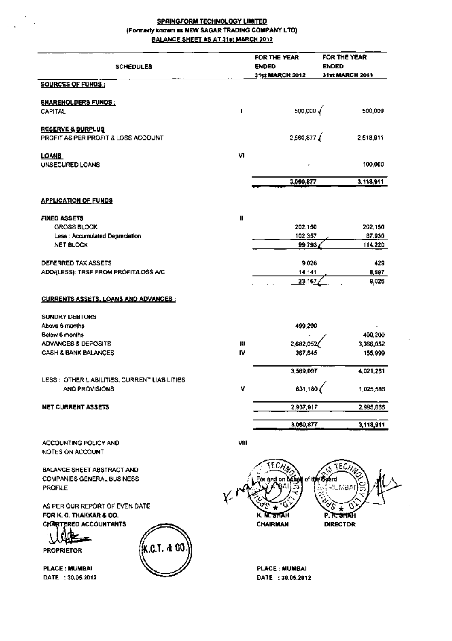#### **SPRINGFORM TECHNOLOGY LIMITED** (Formerly known as NEW SAGAR TRADING COMPANY LTD) BALANCE SHEET AS AT 31st MARCH 2012

 $\ddot{\phantom{a}}$ 

 $\bar{\mathbf{v}}$ 

| <b>SCHEDULES</b>                                                                  |                | FOR THE YEAR<br><b>ENDED</b><br>31st MARCH 2012 | FOR THE YEAR<br><b>ENDED</b><br>31st MARCH 2011 |
|-----------------------------------------------------------------------------------|----------------|-------------------------------------------------|-------------------------------------------------|
| <b>SOURCES OF FUNDS:</b>                                                          |                |                                                 |                                                 |
|                                                                                   |                |                                                 |                                                 |
| <b>SHAREHOLDERS FUNDS:</b><br><b>CAPITAL</b>                                      | п              | 500,000                                         | 500,000                                         |
| <b>RESERVE &amp; SURPLUS</b><br>PROFIT AS PER PROFIT & LOSS ACCOUNT               |                | 2,560,877                                       | 2,518,911                                       |
| LOANS<br>UNSECURED LOANS                                                          | V)             |                                                 | 100,000                                         |
|                                                                                   |                | 3,060,877                                       | 3,118,911                                       |
| <b>APPLICATION OF FUNDS</b>                                                       |                |                                                 |                                                 |
| FIXED ASSETS                                                                      | Ш              |                                                 |                                                 |
| <b>GROSS BLOCK</b>                                                                |                | 202,150                                         | 202,150                                         |
| Less : Accumulated Depreciation                                                   |                | 102,357                                         | 87,930                                          |
| NET BLOCK                                                                         |                | 99.793                                          | 114,220                                         |
| DEFERRED TAX ASSETS                                                               |                | 9,026                                           | 429                                             |
| ADD/(LESS): TRSF FROM PROFITA OSS A/C                                             |                | 14,141                                          | 8,597                                           |
|                                                                                   |                | 23,167                                          | 9,026                                           |
| <b>CURRENTS ASSETS, LOANS AND ADVANCES:</b>                                       |                |                                                 |                                                 |
| <b>SUNDRY DEBTORS</b>                                                             |                |                                                 |                                                 |
| Above 6 months                                                                    |                | 499,200                                         |                                                 |
| <b>Below 6 months</b>                                                             |                |                                                 | 499,200                                         |
| <b>ADVANCES &amp; DEPOSITS</b>                                                    | 用<br><b>IV</b> | 2,682,052                                       | 3,366,052                                       |
| <b>CASH &amp; BANK BALANCES</b>                                                   |                | 387,845                                         | 155,999                                         |
|                                                                                   |                | 3,569,097                                       | 4,021,251                                       |
| LESS : OTHER LIABILITIES, CURRENT LIABILITIES                                     |                |                                                 |                                                 |
| AND PROVISIONS                                                                    | ۷              | 631,180                                         | 1,025,586                                       |
| NET CURRENT ASSETS                                                                |                | 2,937,917                                       | 2,995,665                                       |
|                                                                                   |                | 3,060,877                                       | 3,118,911                                       |
|                                                                                   |                |                                                 |                                                 |
| ACCOUNTING POLICY AND                                                             | VIII           |                                                 |                                                 |
| NOTES ON ACCOUNT                                                                  |                |                                                 |                                                 |
| BALANCE SHEET ABSTRACT AND<br><b>COMPANIES GENERAL BUSINESS</b><br><b>PROFILE</b> |                | ECA<br>x and on béhal                           | $ECH_A$<br>of the Scard<br>VUMBAI               |
| AS PER OUR REPORT OF EVEN DATE                                                    |                |                                                 | o۶                                              |
| FOR K. G. THAKKAR & CO.                                                           |                |                                                 | P. R. SHOP                                      |
| <b>CKARTERED ACCOUNTANTS</b>                                                      |                | CHAIRMAN                                        | <b>DIRECTOR</b>                                 |
|                                                                                   |                |                                                 |                                                 |
| K.C.T. & CO.<br><b>PROPRIETOR</b>                                                 |                |                                                 |                                                 |
|                                                                                   |                |                                                 |                                                 |
| <b>PLACE: MUMBAI</b>                                                              |                | <b>PLACE : MUMBAI</b>                           |                                                 |
| DATE: 30,05.2012                                                                  |                | DATE: 30.05.2012                                |                                                 |
|                                                                                   |                |                                                 |                                                 |
|                                                                                   |                |                                                 |                                                 |

 $\overline{\phantom{a}}$ 

 $\sim$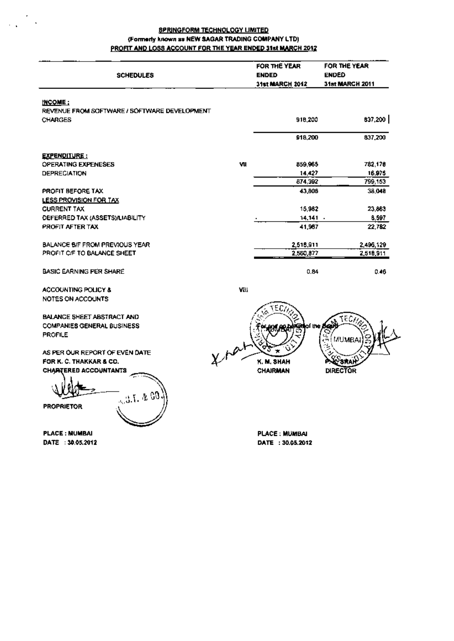#### **SPRINGFORM TECHNOLOGY LIMITED** (Formerly known as NEW SAGAR TRADING COMPANY LTD) PROFIT AND LOSS ACCOUNT FOR THE YEAR ENDED 31st MARCH 2012

| <b>SCHEDULES</b>                             |    | FOR THE YEAR<br><b>ENDED</b><br>31st MARCH 2012 | FOR THE YEAR<br><b>ENDED</b><br><b>31st MARCH 2011</b> |
|----------------------------------------------|----|-------------------------------------------------|--------------------------------------------------------|
| <b>INCOME:</b>                               |    |                                                 |                                                        |
| REVENUE FROM SOFTWARE / SOFTWARE DEVELOPMENT |    |                                                 |                                                        |
| <b>CHARGES</b>                               |    | 918,200                                         | 837,200                                                |
|                                              |    | 918,200                                         | 837,200                                                |
| <u>EXPENDITURE:</u>                          |    |                                                 |                                                        |
| <b>OPERATING EXPENESES</b>                   | ٧U | 859,965                                         | 782,178                                                |
| <b>DEPRECIATION</b>                          |    | 14,427                                          | 16,975                                                 |
|                                              |    | 874.392                                         | 799,153                                                |
| PROFIT BEFORE TAX                            |    | 43.808                                          | 38.048                                                 |
| LESS PROVISION FOR TAX                       |    |                                                 |                                                        |
| <b>CURRENT TAX</b>                           |    | 15,982                                          | 23,863                                                 |
| DEFERRED TAX (ASSETS)/LIABILITY              |    | 14.141                                          | 8,597                                                  |
| PROFIT AFTER TAX                             |    | 41.967                                          | 22,782                                                 |
| BALANCE B/F FROM PREVIOUS YEAR               |    | 2,518,911                                       | 2,496,129                                              |
| PROFIT OF TO BALANCE SHEET                   |    | 2,550,877                                       | 2,518,911                                              |
| <b>BASIC EARNING PER SHARE</b>               |    | 0.84                                            | 0.46                                                   |

**ACCOUNTING POLICY &** NOTES ON ACCOUNTS

BALANCE SHEET ABSTRACT AND **COMPANIES GENERAL BUSINESS PROFILE** 

AS PER OUR REPORT OF EVEN DATE FOR K. C. THAKKAR & CO. **CHARTERED ACCOUNTANTS** 

Ŵ  $\mathfrak{so}_{\mathfrak{X},\mathfrak{X},\mathfrak{X},\mathfrak{X}}$ **PROPRIETOR** 

**PLACE: NUMBAI** DATE: 30.05.2012 VIII



**PLACE: MUMBAI** DATE: 30.05.2012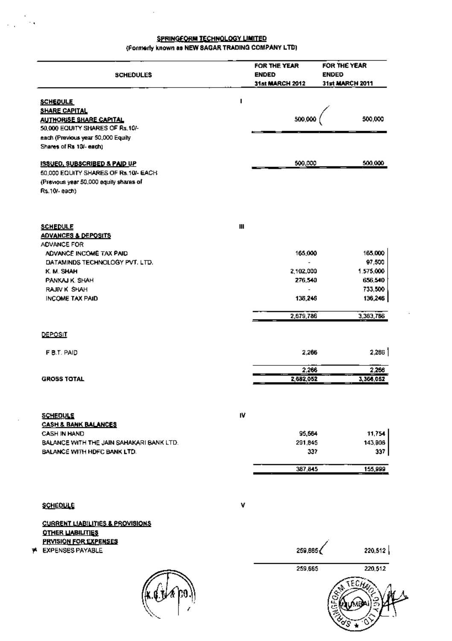#### **SPRINGFORM TECHNOLOGY LIMITED** (Formerly known as NEW SAGAR TRADING COMPANY LTD)

l.

 $\mathcal{L}_{\rm{max}}$  and

| <b>SCHEDULES</b>                                                        |    | FOR THE YEAR<br><b>ENDED</b><br><b>31st MARCH 2012</b> | FOR THE YEAR<br><b>ENDED</b><br>31st MARCH 2011 |
|-------------------------------------------------------------------------|----|--------------------------------------------------------|-------------------------------------------------|
| <b>SCHEDULE</b>                                                         | ı  |                                                        |                                                 |
| <b>SHARE CAPITAL</b>                                                    |    |                                                        |                                                 |
| <b>AUTHORISE SHARE CAPITAL</b><br>50,000 EQUITY SHARES OF Rs.10/-       |    | 500,000                                                | 500,000                                         |
| each (Previous year 50,000 Equily                                       |    |                                                        |                                                 |
| Shares of Rs 10/- each)                                                 |    |                                                        |                                                 |
| <b>ISSUED, SUBSCRIBED &amp; PAID UP</b>                                 |    | 500,000                                                | 500,000                                         |
| 50,000 EQUITY SHARES OF Rs.10/- EACH                                    |    |                                                        |                                                 |
| (Previous year 50,000 equity shares of<br>Rs.10/-each)                  |    |                                                        |                                                 |
|                                                                         |    |                                                        |                                                 |
| <b>SCHEDULE</b>                                                         | Ш  |                                                        |                                                 |
| <b>ADVANCES &amp; DEPOSITS</b>                                          |    |                                                        |                                                 |
| ADVANCE FOR                                                             |    |                                                        |                                                 |
| ADVANCE INCOME TAX PAID                                                 |    | 165,000                                                | 165,000                                         |
| DATAMINDS TECHNOLOGY PVT. LTD.                                          |    |                                                        | 07,500                                          |
| K. M. SHAH                                                              |    | 2,102,000                                              | 1.575,000                                       |
| PANKAJ K. SHAH                                                          |    | 276,540                                                | 656,540                                         |
| RAJIV K SHAH                                                            |    |                                                        | 733,500                                         |
| <b>INCOME TAX PAID</b>                                                  |    | 136,246                                                | 136,246                                         |
|                                                                         |    | 2,679,786                                              | 3,363,786                                       |
| <b>DEPOSIT</b>                                                          |    |                                                        |                                                 |
| F B.T. PAID                                                             |    | 2,266                                                  | 2,266                                           |
|                                                                         |    |                                                        |                                                 |
|                                                                         |    | 2,266                                                  | 2,266                                           |
| <b>GROSS TOTAL</b>                                                      |    | 2,682,052                                              | 3,366,052                                       |
|                                                                         |    |                                                        |                                                 |
| <b>SCHEDULE</b>                                                         | IV |                                                        |                                                 |
| <b>CASH &amp; BANK BALANCES</b>                                         |    |                                                        |                                                 |
| CASH IN HAND                                                            |    | 95,664                                                 | 11,754<br>143,906                               |
| BALANCE WITH THE JAIN SAHAKARI BANK LTD.<br>BALANCE WITH HDFC BANK LTD. |    | 291,845<br>337                                         | 337                                             |
|                                                                         |    |                                                        |                                                 |
|                                                                         |    | 387,845                                                | 155,999                                         |
|                                                                         |    |                                                        |                                                 |
| <b>SCHEDULE</b>                                                         | v  |                                                        |                                                 |

**SCHEDULE** 

**CURRENT LIABILITIES & PROVISIONS OTHER LIABILITIES PRYISION FOR EXPENSES** P EXPENSES PAYABLE



 $\cdot$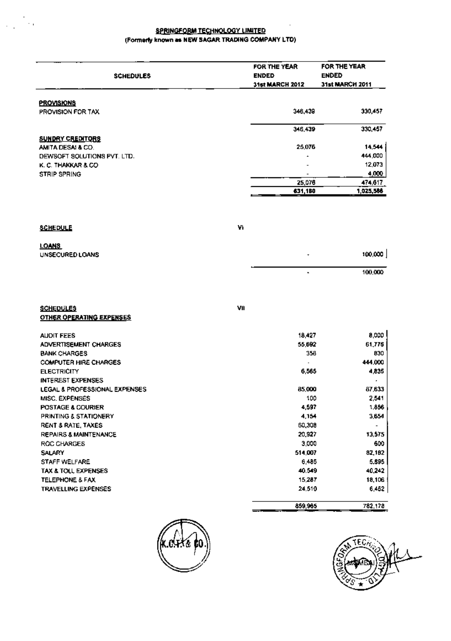#### **SPRINGFORM TECHNOLOGY LIMITED** (Formerly known as NEW SAGAR TRADING COMPANY LTD)

 $\frac{1}{2}$ 

 $\sim$   $\sim$ 

Ĭ.

|                                                |     | FOR THE YEAR             | FOR THE YEAR    |
|------------------------------------------------|-----|--------------------------|-----------------|
| <b>SCHEDULES</b>                               |     | <b>ENDED</b>             | <b>ENDED</b>    |
|                                                |     | <b>31st MARCH 2012</b>   | 31st MARCH 2011 |
| <b>PROVISIONS</b>                              |     |                          |                 |
| PROVISION FOR TAX                              |     | 346,439                  | 330,457         |
|                                                |     | 346,439                  | 330,457         |
| <b>SUNDRY CREDITORS</b>                        |     |                          |                 |
| AMITA DESALA CO.                               |     | 25.076                   | 14,544          |
| DEWSOFT SOLUTIONS PVT. LTD.                    |     |                          | 444,000         |
| K. C. THAKKAR & CO.                            |     |                          | 12,073          |
| <b>STRIP SPRING</b>                            |     | $\overline{\phantom{a}}$ | 4,000           |
|                                                |     | 25,078                   | 474,617         |
|                                                |     | 631,180                  | 1,025,588       |
|                                                |     |                          |                 |
| SCHEDULE                                       | ٧ı  |                          |                 |
| LOANS                                          |     |                          |                 |
| UNSECURED LOANS                                |     |                          | 100,000         |
|                                                |     |                          | 100,000         |
|                                                |     |                          |                 |
| <b>SCHEDULES</b>                               | VII |                          |                 |
| <b>OTHER OPERATING EXPENSES</b>                |     |                          |                 |
| <b>AUDIT FEES</b>                              |     | 18,427                   | 8,000           |
| ADVERTISEMENT CHARGES                          |     | 55,692                   | 61,776          |
| <b>BANK CHARGES</b>                            |     | 358                      | 830             |
| <b>COMPUTER HIRE CHARGES</b>                   |     |                          | 444,000         |
| <b>ELECTRICITY</b><br><b>INTEREST EXPENSES</b> |     | 6,565                    | 4,835           |
| LEGAL & PROFESSIONAL EXPENSES                  |     | 85,000                   | 87,633          |
| MISC, EXPENSES                                 |     | 100                      | 2,541           |
| POSTAGE & COURIER                              |     | 4,597                    | 1,856           |
| <b>PRINTING &amp; STATIONERY</b>               |     | 4,154                    | 3,654           |
| RENT & RATE, TAXES                             |     | 60,308                   |                 |
| REPAIRS & MAINTENANCE                          |     | 20,927                   | 13,575          |
| ROC CHARGES                                    |     | 3,000                    | 600             |
| SALARY                                         |     | 514,007                  | 82,182          |
| STAFF WELFARE                                  |     | 6,485                    | 5,895           |
| TAX & TOLL EXPENSES                            |     | 40.549                   | 40,242          |
| TELEPHONE & FAX                                |     | 15,287                   | 18,106          |
| TRAVELLING EXPENSES                            |     | 24,510                   | 6,452           |
|                                                |     | 859,965                  | 782,178         |



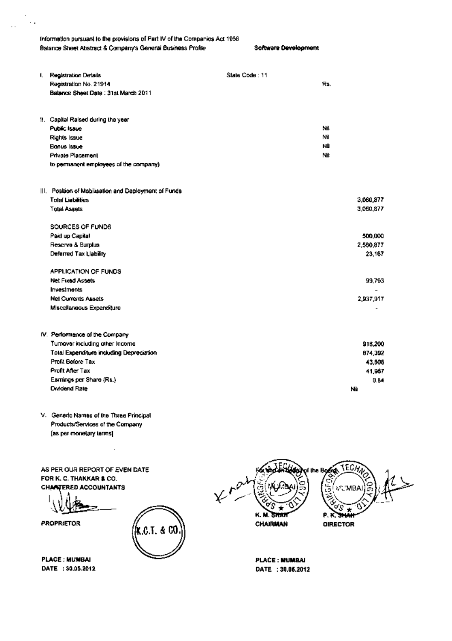Information pursuant to the provisions of Part IV of the Companies Act 1956. Balance Sheet Abstract & Company's General Business Profile Software Development

 $\sim$  .

| <b>Registration Details</b>                           | State Code: 11 |     |           |
|-------------------------------------------------------|----------------|-----|-----------|
| Registration No. 21914                                |                | Rs. |           |
| Balance Sheet Date: 31st March 2011                   |                |     |           |
| II. Capital Raised during the year                    |                |     |           |
| Public Isaue                                          |                | Nil |           |
| Rights issue                                          |                | ΝiΙ |           |
| Bonus Issue                                           |                | ΝÜ  |           |
| Private Placement                                     |                | Nit |           |
| to permanent employees of the company)                |                |     |           |
| III. Position of Mobilisation and Deployment of Funds |                |     |           |
| <b>Total Liabilities</b>                              |                |     | 3,060,877 |
| <b>Total Assets</b>                                   |                |     | 3,060,877 |
| SOURCES OF FUNDS                                      |                |     |           |
| Paid up Capital                                       |                |     | 500,000   |
| Reserve & Surplus                                     |                |     | 2,560,877 |
| Deferred Tax Liability                                |                |     | 23,167    |
| APPLICATION OF FUNDS                                  |                |     |           |
| Net Fused Assets                                      |                |     | 99.793    |
| Investments                                           |                |     |           |
| <b>Net Currents Assets</b>                            |                |     | 2,937,917 |
| Miscellaneous Expenditure                             |                |     |           |
| IV. Performance of the Company                        |                |     |           |
| Tumover including other income                        |                |     | 916,200   |
| Total Expenditure including Depreciation              |                |     | 874,392   |
| Profit Before Tax                                     |                |     | 43,608    |
| Profit After Tax                                      |                |     | 41.967    |
| Esmings per Share (Rs.)                               |                |     | 0.64      |
| <b>Dividend Rate</b>                                  |                |     | Nü        |

V. Generic Names of the Three Principal Products/Services of the Company [as per monetary terms]

AS PER OUR REPORT OF EVEN DATE FOR K. C. THAKKAR & CO. **CHANTERED ACCOUNTANTS** 

 $0.6$ . J.  $\approx 0.0$ 

**PROPRIETOR** 

**PLACE: MUMBAI** DATE: 30.05.2012



**PLACE: MUMBAI** DATE: 30.06.2012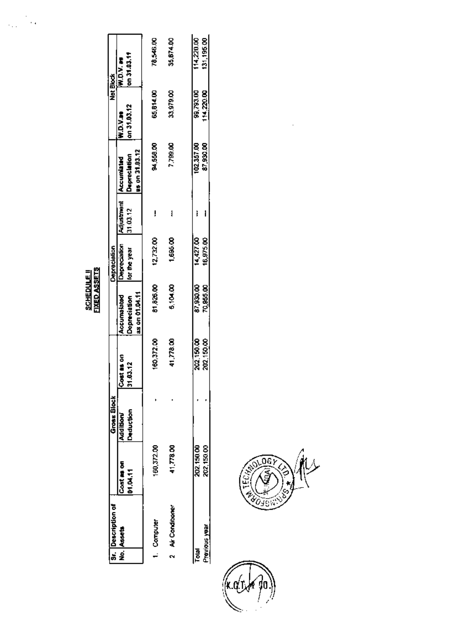**EIXED ASSETS** 

|       | <b>Sr.</b> Description of |                               | <b>Gross Block</b>    |                          |                                               | <b>Depreciation</b>                               |          |                                |                         | Net Block                    |
|-------|---------------------------|-------------------------------|-----------------------|--------------------------|-----------------------------------------------|---------------------------------------------------|----------|--------------------------------|-------------------------|------------------------------|
|       | No. Assets                | Cost as on<br><b>D1.04.11</b> | Deduction<br>Addition | Cost as on<br>13.12<br>Ī | as on 01.04.11<br>Accumatated<br>Depreciation | Depreciation Adjustment Accumunid<br>for the year | 31.03.12 | us on 31.03.12<br>Depreclation | on 31.03.12<br>W.D.V.as | on 31.03.11<br><b>W.D.V.</b> |
|       | 1. Computer               | 160,372.00                    |                       | 160.372.00               | \$1,826.00                                    | 12,732.00                                         |          | 94,559.00                      | 65,814.00               | 78.546.00                    |
|       | 2 Air Conditioner         | 41,778.00                     |                       | 41,778.00                | <b>8104.00</b>                                | 1,695.00                                          | 1        | 7,799.00                       | 33,979.00               | 35,674.00                    |
|       |                           |                               |                       |                          |                                               |                                                   |          |                                |                         | 114,220.00                   |
| Total |                           | 202,150.00                    |                       | 202150.00                | 87,930.00                                     | 14,427.00                                         |          | 102.357.00                     | 99,793.00               |                              |
|       | <u>Previous year</u>      | 202,150.00                    |                       | 202,150.00               | 70,855.00                                     | 16,975.00                                         |          | 87,930.00                      | 114.220.00              | 131,195.00                   |



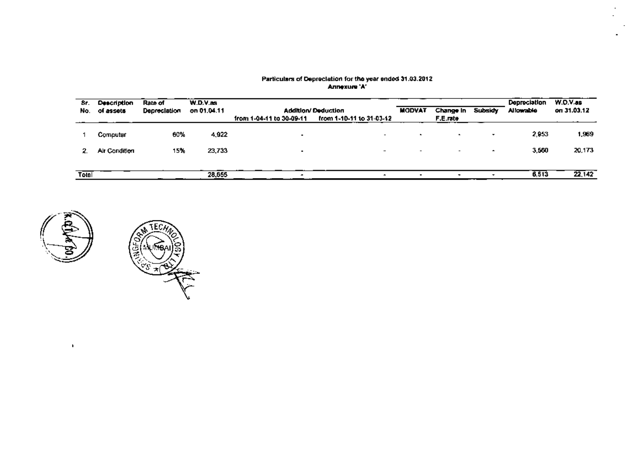| Sr.<br>No. | <b>Description</b><br>of assets | Rate of<br>Depreclation | W.D.V. as<br>on 01.04.11 | from 1-04-11 to 30-09-11 | <b>Addition/Deduction</b><br>from 1-10-11 to 31-03-12 | <b>MODVAT</b>            | Change In<br>F.E.rate    | Subsidy                  | Depreciation<br>Allowable | W.O.V.as<br>on 31.03.12 |
|------------|---------------------------------|-------------------------|--------------------------|--------------------------|-------------------------------------------------------|--------------------------|--------------------------|--------------------------|---------------------------|-------------------------|
|            | Computer                        | 60%                     | 4,922                    |                          | $\overline{\phantom{a}}$                              | $\overline{\phantom{a}}$ | $\overline{\phantom{a}}$ | $\cdot$                  | 2,953                     | 1,969                   |
| 2.         | Air Condition                   | 15%                     | 23,733                   | $\overline{\phantom{a}}$ | $\overline{\phantom{0}}$                              | $\overline{\phantom{0}}$ | $\overline{\phantom{0}}$ | $\overline{\phantom{a}}$ | 3,550                     | 20,173                  |
|            |                                 |                         |                          |                          |                                                       |                          |                          |                          |                           |                         |
| Tolal      |                                 |                         | 28,655                   |                          |                                                       |                          |                          |                          | 6,513                     | 22142                   |

# Particulars of Depreciation for the year ended 31.03.2012<br>Annexure 'A'



 $\mathbf{r}$ 

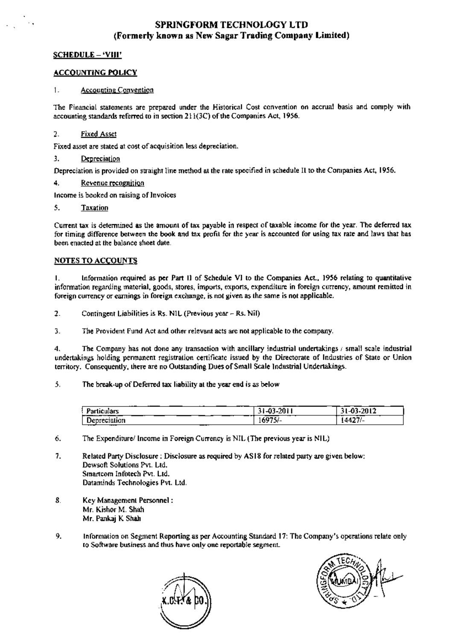#### SPRINGFORM TECHNOLOGY LTD (Formerly known as New Sagar Trading Company Limited)

#### **SCHEDULE - 'VIII'**

#### **ACCOUNTING POLICY**

#### $1.$ **Accounting Convention**

The Financial statements are prepared under the Historical Cost convention on accrual basis and comply with accounting standards referred to in section 211(3C) of the Companies Act, 1956.

#### $\overline{2}$ . **Fixed Asset**

Fixed asset are stated at cost of acquisition less depreciation.

#### 3. Depreciation

Depreciation is provided on straight line method at the rate specified in schedule II to the Companies Act, 1956.

4. Revenue recognition

Income is booked on raising of Invoices

#### 5. **Taxation**

Current tax is determined as the amount of tax payable in respect of taxable income for the year. The deferred tax for timing difference between the book and tax profit for the year is accounted for using tax rate and laws that has been enacted at the balance sheet date.

#### **NOTES TO ACCOUNTS**

L. Information required as per Part II of Schedule VI to the Companies Act., 1956 relating to quantitative information regarding material, goods, stores, imports, exports, expenditure in foreign currency, amount remitted in foreign currency or earnings in foreign exchange, is not given as the same is not applicable.

2. Contingent Liabilities is Rs. NIL (Previous year - Rs. Nil)

3. The Provident Fund Act and other relevant acts are not applicable to the company.

 $\overline{4}$ . The Company has not done any transaction with ancillary industrial undertakings / small scale industrial undertakings holding permanent registration certificate issued by the Directorate of Industries of State or Union territory. Consequently, there are no Outstanding Dues of Small Scale Industrial Undertakings.

#### 5. The break-up of Deferred tax liability at the year end is as below

| $\cdots$<br>Particulars                               | $-03 - 2011$ | $-2012$ |
|-------------------------------------------------------|--------------|---------|
| _______<br>$-$<br>Depreciation<br>____<br>----<br>___ | 16975/-      | 14427/  |

6. The Expenditure/ Income in Foreign Currency is NIL (The previous year is NIL)

- 7. Related Party Disclosure : Disclosure as required by AS18 for related party are given below: Dewsoft Solutions Pvt. Ltd. Smartcom Infotech Pvt. Ltd. Dataminds Technologies Pvt. Ltd.
- 8. Key Management Personnel: Mr. Kishor M. Shah Mr. Pankaj K Shah
- 9. Information on Segment Reporting as per Accounting Standard 17: The Company's operations relate only to Software business and thus have only one reportable segment.



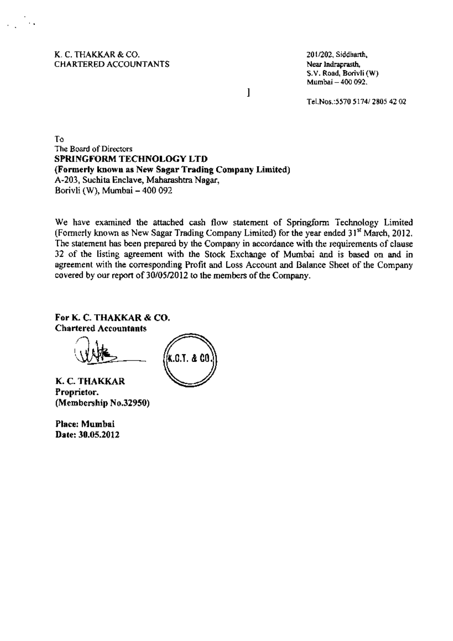K. C. THAKKAR & CO. **CHARTERED ACCOUNTANTS**  201/202, Siddharth, Near Indraprasth. S.V. Road, Borivli (W) Mumbai - 400 092.

Tel.Nos.: 5570 5174/2805 42 02

To The Board of Directors SPRINGFORM TECHNOLOGY LTD (Formerly known as New Sagar Trading Company Limited) A-203, Suchita Enclave, Maharashtra Nagar, Borivli (W), Mumbai - 400 092

We have examined the attached cash flow statement of Springform Technology Limited (Formerly known as New Sagar Trading Company Limited) for the year ended 31<sup>st</sup> March, 2012. The statement has been prepared by the Company in accordance with the requirements of clause 32 of the listing agreement with the Stock Exchange of Mumbai and is based on and in agreement with the corresponding Profit and Loss Account and Balance Sheet of the Company covered by our report of 30/05/2012 to the members of the Company.

 $\mathbf{l}$ 

For K. C. THAKKAR & CO. **Chartered Accountants** 

K.C.T. & CO

K. C. THAKKAR Proprietor. (Membership No.32950)

Place: Mumbai Date: 30.05.2012